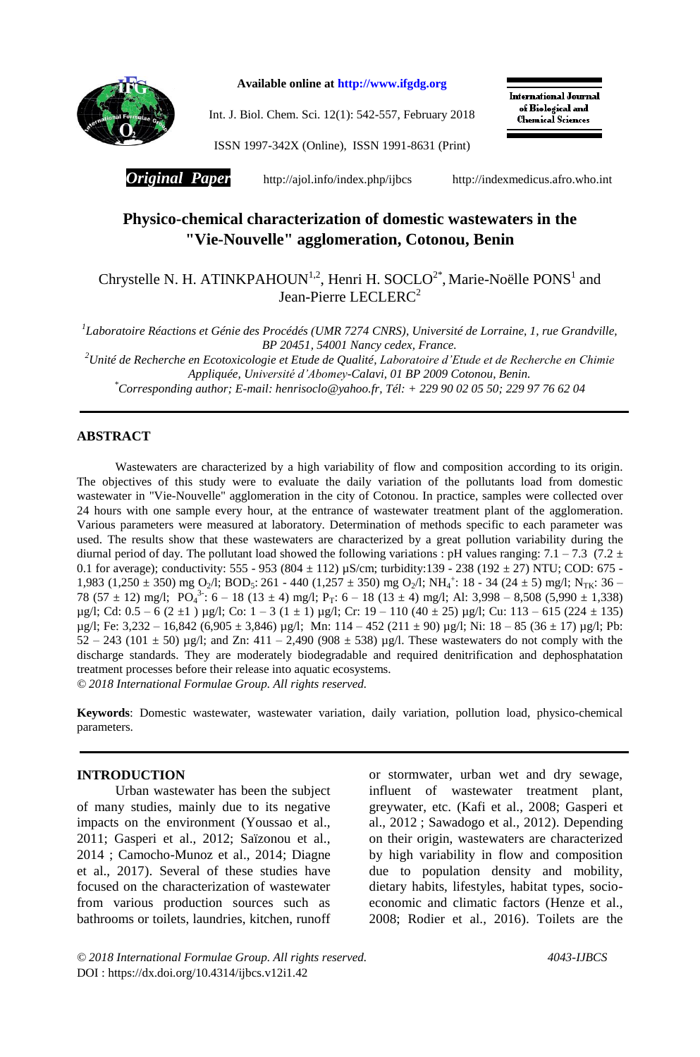

**Available online at http://www.ifgdg.org**

Int. J. Biol. Chem. Sci. 12(1): 542-557, February 2018

International Journal of Biological and **Chemical Sciences** 

ISSN 1997-342X (Online), ISSN 1991-8631 (Print)

*Original Paper* http://ajol.info/index.php/ijbcs[http://indexmedicus.afro.who.int](http://indexmedicus.afro.who.int/)

# **Physico-chemical characterization of domestic wastewaters in the "Vie-Nouvelle" agglomeration, Cotonou, Benin**

Chrystelle N. H. ATINKPAHOUN<sup>1,2</sup>, Henri H. SOCLO<sup>2\*</sup>, Marie-Noëlle PONS<sup>1</sup> and Jean-Pierre LECLERC<sup>2</sup>

*1 Laboratoire Réactions et Génie des Procédés (UMR 7274 CNRS), Université de Lorraine, 1, rue Grandville, BP 20451, 54001 Nancy cedex, France.*

*<sup>2</sup>Unité de Recherche en Ecotoxicologie et Etude de Qualité, Laboratoire d'Etude et de Recherche en Chimie Appliquée, Université d'Abomey-Calavi, 01 BP 2009 Cotonou, Benin. \*Corresponding author; E-mail: henrisoclo@yahoo.fr, Tél: + 229 90 02 05 50; 229 97 76 62 04*

#### **ABSTRACT**

 $\overline{a}$ 

Wastewaters are characterized by a high variability of flow and composition according to its origin. The objectives of this study were to evaluate the daily variation of the pollutants load from domestic wastewater in "Vie-Nouvelle" agglomeration in the city of Cotonou. In practice, samples were collected over 24 hours with one sample every hour, at the entrance of wastewater treatment plant of the agglomeration. Various parameters were measured at laboratory. Determination of methods specific to each parameter was used. The results show that these wastewaters are characterized by a great pollution variability during the diurnal period of day. The pollutant load showed the following variations : pH values ranging:  $7.1 - 7.3$  (7.2  $\pm$ 0.1 for average); conductivity: 555 - 953 (804  $\pm$  112) µS/cm; turbidity:139 - 238 (192  $\pm$  27) NTU; COD: 675 -1,983 (1,250 ± 350) mg O<sub>2</sub>/l; BOD<sub>5</sub>: 261 - 440 (1,257 ± 350) mg O<sub>2</sub>/l; NH<sub>4</sub><sup>+</sup>: 18 - 34 (24 ± 5) mg/l; N<sub>TK</sub>: 36 -78 (57 ± 12) mg/l; PO<sub>4</sub><sup>3</sup>: 6 – 18 (13 ± 4) mg/l; P<sub>T</sub>: 6 – 18 (13 ± 4) mg/l; Al: 3,998 – 8,508 (5,990 ± 1,338)  $\mu$ g/l; Cd: 0.5 – 6 (2 ±1 )  $\mu$ g/l; Co: 1 – 3 (1 ± 1)  $\mu$ g/l; Cr: 19 – 110 (40 ± 25)  $\mu$ g/l; Cu: 113 – 615 (224 ± 135)  $\mu$ g/l; Fe: 3,232 – 16,842 (6,905 ± 3,846)  $\mu$ g/l; Mn: 114 – 452 (211 ± 90)  $\mu$ g/l; Ni: 18 – 85 (36 ± 17)  $\mu$ g/l; Pb: 52 – 243 (101  $\pm$  50) µg/l; and Zn: 411 – 2,490 (908  $\pm$  538) µg/l. These wastewaters do not comply with the discharge standards. They are moderately biodegradable and required denitrification and dephosphatation treatment processes before their release into aquatic ecosystems. *© 2018 International Formulae Group. All rights reserved.*

**Keywords**: Domestic wastewater, wastewater variation, daily variation, pollution load, physico-chemical parameters.

## **INTRODUCTION**

Urban wastewater has been the subject of many studies, mainly due to its negative impacts on the environment (Youssao et al., 2011; Gasperi et al., 2012; Saïzonou et al., 2014 ; Camocho-Munoz et al., 2014; Diagne et al., 2017). Several of these studies have focused on the characterization of wastewater from various production sources such as bathrooms or toilets, laundries, kitchen, runoff

or stormwater, urban wet and dry sewage, influent of wastewater treatment plant, greywater, etc. (Kafi et al., 2008; Gasperi et al., 2012 ; Sawadogo et al., 2012). Depending on their origin, wastewaters are characterized by high variability in flow and composition due to population density and mobility, dietary habits, lifestyles, habitat types, socioeconomic and climatic factors (Henze et al., 2008; Rodier et al., 2016). Toilets are the

*© 2018 International Formulae Group. All rights reserved. 4043-IJBCS* DOI : https://dx.doi.org/10.4314/ijbcs.v12i1.42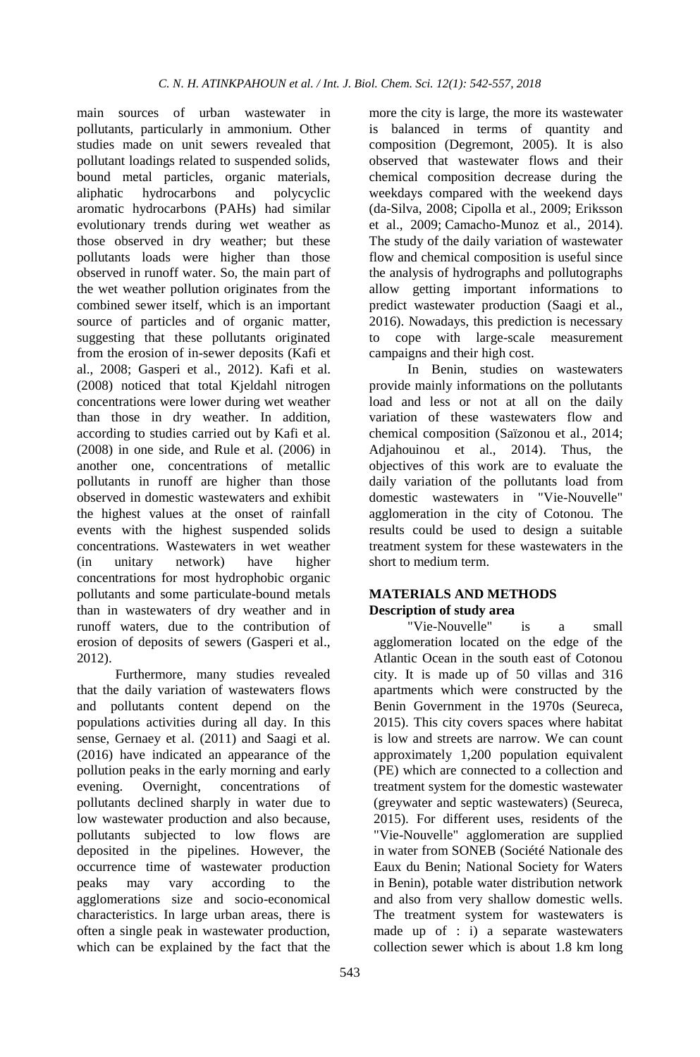main sources of urban wastewater in pollutants, particularly in ammonium. Other studies made on unit sewers revealed that pollutant loadings related to suspended solids, bound metal particles, organic materials, aliphatic hydrocarbons and polycyclic aromatic hydrocarbons (PAHs) had similar evolutionary trends during wet weather as those observed in dry weather; but these pollutants loads were higher than those observed in runoff water. So, the main part of the wet weather pollution originates from the combined sewer itself, which is an important source of particles and of organic matter, suggesting that these pollutants originated from the erosion of in-sewer deposits (Kafi et al., 2008; Gasperi et al., 2012). Kafi et al. (2008) noticed that total Kjeldahl nitrogen concentrations were lower during wet weather than those in dry weather. In addition, according to studies carried out by Kafi et al. (2008) in one side, and Rule et al. (2006) in another one, concentrations of metallic pollutants in runoff are higher than those observed in domestic wastewaters and exhibit the highest values at the onset of rainfall events with the highest suspended solids concentrations. Wastewaters in wet weather (in unitary network) have higher concentrations for most hydrophobic organic pollutants and some particulate-bound metals than in wastewaters of dry weather and in runoff waters, due to the contribution of erosion of deposits of sewers (Gasperi et al., 2012).

Furthermore, many studies revealed that the daily variation of wastewaters flows and pollutants content depend on the populations activities during all day. In this sense, Gernaey et al. (2011) and Saagi et al. (2016) have indicated an appearance of the pollution peaks in the early morning and early evening. Overnight, concentrations of pollutants declined sharply in water due to low wastewater production and also because, pollutants subjected to low flows are deposited in the pipelines. However, the occurrence time of wastewater production peaks may vary according to the agglomerations size and socio-economical characteristics. In large urban areas, there is often a single peak in wastewater production, which can be explained by the fact that the

more the city is large, the more its wastewater is balanced in terms of quantity and composition (Degremont, 2005). It is also observed that wastewater flows and their chemical composition decrease during the weekdays compared with the weekend days (da-Silva, 2008; Cipolla et al., 2009; Eriksson et al., 2009; Camacho-Munoz et al., 2014). The study of the daily variation of wastewater flow and chemical composition is useful since the analysis of hydrographs and pollutographs allow getting important informations to predict wastewater production (Saagi et al., 2016). Nowadays, this prediction is necessary to cope with large-scale measurement campaigns and their high cost.

In Benin, studies on wastewaters provide mainly informations on the pollutants load and less or not at all on the daily variation of these wastewaters flow and chemical composition (Saïzonou et al., 2014; Adjahouinou et al., 2014). Thus, the objectives of this work are to evaluate the daily variation of the pollutants load from domestic wastewaters in "Vie-Nouvelle" agglomeration in the city of Cotonou. The results could be used to design a suitable treatment system for these wastewaters in the short to medium term.

## **MATERIALS AND METHODS Description of study area**

"Vie-Nouvelle" is a small agglomeration located on the edge of the Atlantic Ocean in the south east of Cotonou city. It is made up of 50 villas and 316 apartments which were constructed by the Benin Government in the 1970s (Seureca, 2015). This city covers spaces where habitat is low and streets are narrow. We can count approximately 1,200 population equivalent (PE) which are connected to a collection and treatment system for the domestic wastewater (greywater and septic wastewaters) (Seureca, 2015). For different uses, residents of the "Vie-Nouvelle" agglomeration are supplied in water from SONEB (Société Nationale des Eaux du Benin; National Society for Waters in Benin), potable water distribution network and also from very shallow domestic wells. The treatment system for wastewaters is made up of : i) a separate wastewaters collection sewer which is about 1.8 km long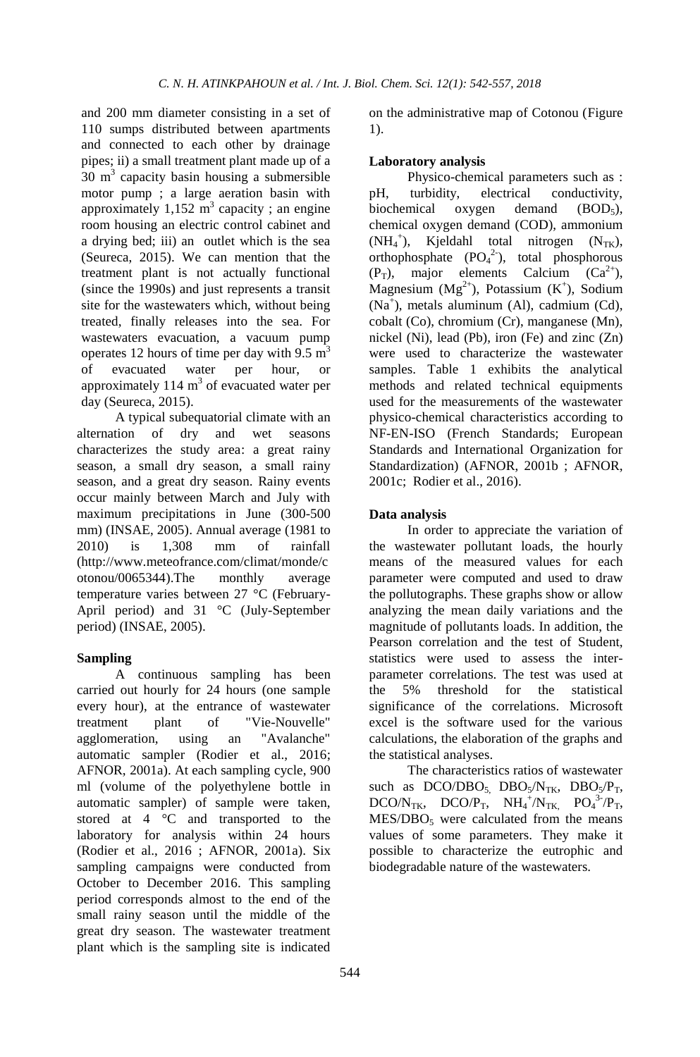and 200 mm diameter consisting in a set of 110 sumps distributed between apartments and connected to each other by drainage pipes; ii) a small treatment plant made up of a 30  $m<sup>3</sup>$  capacity basin housing a submersible motor pump ; a large aeration basin with approximately  $1,152 \text{ m}^3$  capacity; an engine room housing an electric control cabinet and a drying bed; iii) an outlet which is the sea (Seureca, 2015). We can mention that the treatment plant is not actually functional (since the 1990s) and just represents a transit site for the wastewaters which, without being treated, finally releases into the sea. For wastewaters evacuation, a vacuum pump operates 12 hours of time per day with 9.5  $m<sup>3</sup>$ of evacuated water per hour, or approximately 114  $m<sup>3</sup>$  of evacuated water per day (Seureca, 2015).

A typical subequatorial climate with an alternation of dry and wet seasons characterizes the study area: a great rainy season, a small dry season, a small rainy season, and a great dry season. Rainy events occur mainly between March and July with maximum precipitations in June (300-500 mm) (INSAE, 2005). Annual average (1981 to 2010) is 1,308 mm of rainfall [\(http://www.meteofrance.com/climat/monde/c](http://www.meteofrance.com/climat/monde/cotonou/0065344) [otonou/0065344\)](http://www.meteofrance.com/climat/monde/cotonou/0065344).The monthly average temperature varies between 27 °C (February-April period) and 31 °C (July-September period) (INSAE, 2005).

## **Sampling**

A continuous sampling has been carried out hourly for 24 hours (one sample every hour), at the entrance of wastewater treatment plant of "Vie-Nouvelle" agglomeration, using an "Avalanche" automatic sampler (Rodier et al., 2016; AFNOR, 2001a). At each sampling cycle, 900 ml (volume of the polyethylene bottle in automatic sampler) of sample were taken, stored at 4 °C and transported to the laboratory for analysis within 24 hours (Rodier et al., 2016 ; AFNOR, 2001a). Six sampling campaigns were conducted from October to December 2016. This sampling period corresponds almost to the end of the small rainy season until the middle of the great dry season. The wastewater treatment plant which is the sampling site is indicated

on the administrative map of Cotonou (Figure 1).

#### **Laboratory analysis**

Physico-chemical parameters such as : pH, turbidity, electrical conductivity, biochemical oxygen demand  $(BOD<sub>5</sub>)$ , chemical oxygen demand (COD), ammonium  $(NH_4^+),$  Kjeldahl total nitrogen  $(N_{TK}),$ orthophosphate  $(PO<sub>4</sub><sup>2</sup>)$ , total phosphorous  $(P_T)$ , major elements Calcium  $(Ca^{2+})$ , Magnesium  $(Mg^{2+})$ , Potassium  $(K^+)$ , Sodium (Na<sup>+</sup> ), metals aluminum (Al), cadmium (Cd), cobalt (Co), chromium (Cr), manganese (Mn), nickel (Ni), lead (Pb), iron (Fe) and zinc (Zn) were used to characterize the wastewater samples. Table 1 exhibits the analytical methods and related technical equipments used for the measurements of the wastewater physico-chemical characteristics according to NF-EN-ISO (French Standards; European Standards and International Organization for Standardization) (AFNOR, 2001b ; AFNOR, 2001c; Rodier et al., 2016).

#### **Data analysis**

In order to appreciate the variation of the wastewater pollutant loads, the hourly means of the measured values for each parameter were computed and used to draw the pollutographs. These graphs show or allow analyzing the mean daily variations and the magnitude of pollutants loads. In addition, the Pearson correlation and the test of Student, statistics were used to assess the interparameter correlations. The test was used at the 5% threshold for the statistical significance of the correlations. Microsoft excel is the software used for the various calculations, the elaboration of the graphs and the statistical analyses.

The characteristics ratios of wastewater such as  $DCO/DBO<sub>5</sub>$   $DBO<sub>5</sub>/N<sub>TK</sub>$ ,  $DBO<sub>5</sub>/P<sub>T</sub>$ , DCO/N<sub>TK</sub>, DCO/P<sub>T</sub>,  $NH_4^+ / N_{TK}$ , PO<sub>4</sub><sup>3-</sup>/P<sub>T</sub>,  $MES/DBO<sub>5</sub>$  were calculated from the means values of some parameters. They make it possible to characterize the eutrophic and biodegradable nature of the wastewaters.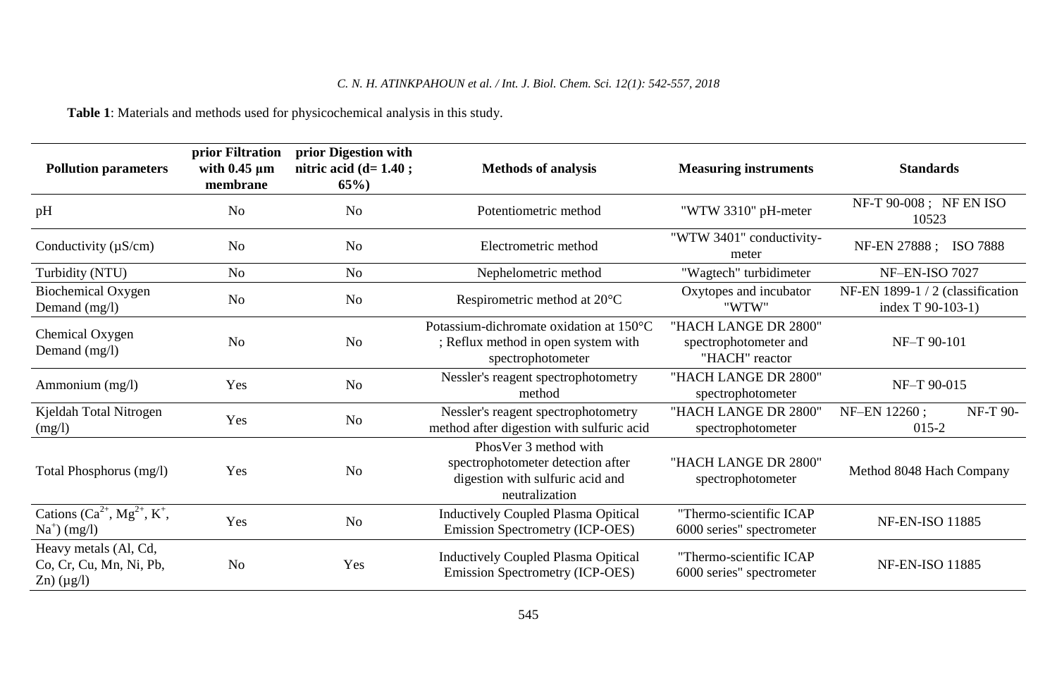**Table 1**: Materials and methods used for physicochemical analysis in this study.

| <b>Pollution parameters</b>                                            | prior Filtration<br>with $0.45 \mu m$<br>membrane | prior Digestion with<br>nitric acid $(d=1.40;$<br>$65\%$ | <b>Methods of analysis</b>                                                                                       | <b>Measuring instruments</b>                                    | <b>Standards</b>                                      |  |  |  |
|------------------------------------------------------------------------|---------------------------------------------------|----------------------------------------------------------|------------------------------------------------------------------------------------------------------------------|-----------------------------------------------------------------|-------------------------------------------------------|--|--|--|
| pH                                                                     | No                                                | N <sub>o</sub>                                           | Potentiometric method                                                                                            | "WTW 3310" pH-meter                                             | NF-T 90-008; NF EN ISO<br>10523                       |  |  |  |
| Conductivity $(\mu S/cm)$                                              | No                                                | N <sub>o</sub>                                           | Electrometric method                                                                                             | "WTW 3401" conductivity-<br>meter                               | NF-EN 27888; ISO 7888                                 |  |  |  |
| Turbidity (NTU)                                                        | No                                                | No                                                       | Nephelometric method                                                                                             | "Wagtech" turbidimeter                                          | <b>NF-EN-ISO 7027</b>                                 |  |  |  |
| <b>Biochemical Oxygen</b><br>Demand (mg/l)                             | N <sub>o</sub>                                    | N <sub>o</sub>                                           | Respirometric method at 20°C                                                                                     | Oxytopes and incubator<br>"WTW"                                 | NF-EN 1899-1 / 2 (classification<br>index T 90-103-1) |  |  |  |
| Chemical Oxygen<br>No<br>Demand (mg/l)                                 |                                                   | N <sub>o</sub>                                           | Potassium-dichromate oxidation at 150°C<br>; Reflux method in open system with<br>spectrophotometer              | "HACH LANGE DR 2800"<br>spectrophotometer and<br>"HACH" reactor | NF-T 90-101                                           |  |  |  |
| Ammonium (mg/l)                                                        | Yes                                               | N <sub>0</sub>                                           | Nessler's reagent spectrophotometry<br>method                                                                    | "HACH LANGE DR 2800"<br>spectrophotometer                       | NF-T 90-015                                           |  |  |  |
| Kjeldah Total Nitrogen<br>(mg/l)                                       | Yes                                               | N <sub>0</sub>                                           | Nessler's reagent spectrophotometry<br>method after digestion with sulfuric acid                                 | "HACH LANGE DR 2800"<br>spectrophotometer                       | NF-T 90-<br>NF-EN 12260;<br>$015 - 2$                 |  |  |  |
| Total Phosphorus (mg/l)                                                | Yes                                               | N <sub>0</sub>                                           | PhosVer 3 method with<br>spectrophotometer detection after<br>digestion with sulfuric acid and<br>neutralization | "HACH LANGE DR 2800"<br>spectrophotometer                       | Method 8048 Hach Company                              |  |  |  |
| Cations $(Ca^{2+}, Mg^{2+}, K^+,$<br>$Na+$ (mg/l)                      | Yes                                               | N <sub>0</sub>                                           | <b>Inductively Coupled Plasma Opitical</b><br>Emission Spectrometry (ICP-OES)                                    | "Thermo-scientific ICAP<br>6000 series" spectrometer            | <b>NF-EN-ISO 11885</b>                                |  |  |  |
| Heavy metals (Al, Cd,<br>Co, Cr, Cu, Mn, Ni, Pb,<br>$Zn)$ ( $\mu$ g/l) | N <sub>o</sub>                                    | Yes                                                      | <b>Inductively Coupled Plasma Opitical</b><br>Emission Spectrometry (ICP-OES)                                    | "Thermo-scientific ICAP<br>6000 series" spectrometer            | <b>NF-EN-ISO 11885</b>                                |  |  |  |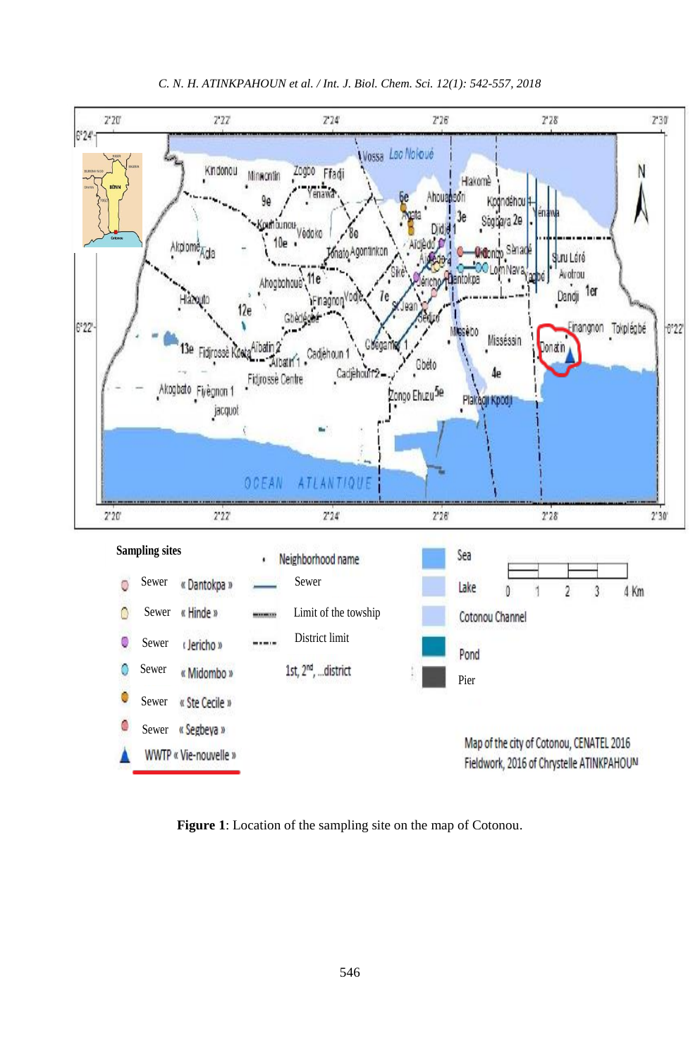

**Figure 1**: Location of the sampling site on the map of Cotonou.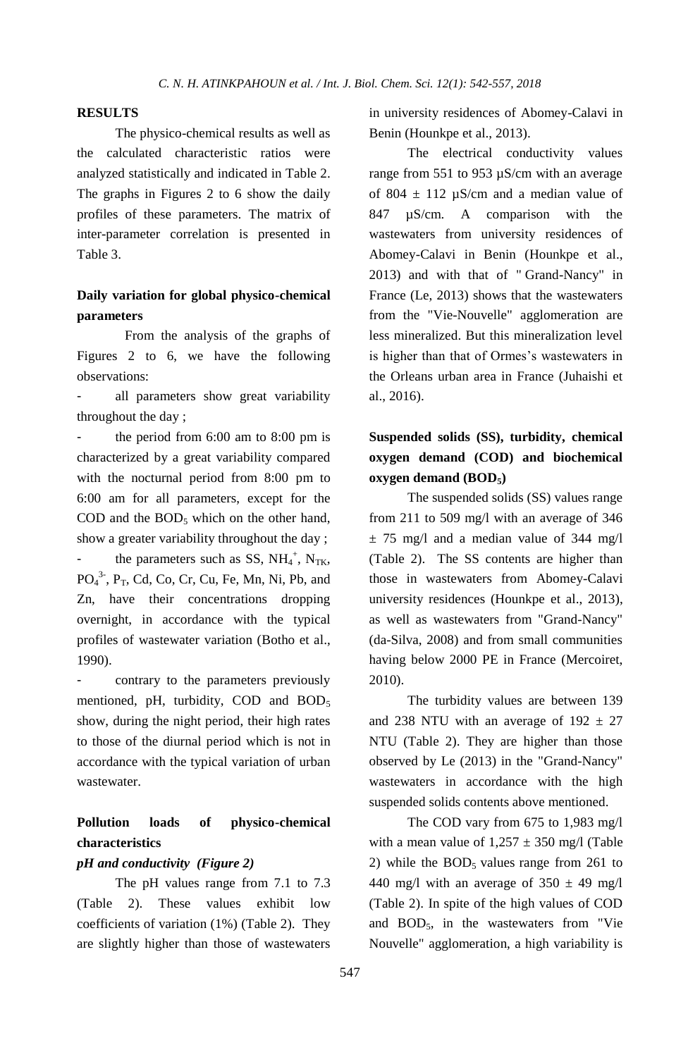## **RESULTS**

The physico-chemical results as well as the calculated characteristic ratios were analyzed statistically and indicated in Table 2. The graphs in Figures 2 to 6 show the daily profiles of these parameters. The matrix of inter-parameter correlation is presented in Table 3.

## **Daily variation for global physico-chemical parameters**

From the analysis of the graphs of Figures 2 to 6, we have the following observations:

all parameters show great variability throughout the day ;

- the period from 6:00 am to 8:00 pm is characterized by a great variability compared with the nocturnal period from 8:00 pm to 6:00 am for all parameters, except for the COD and the  $BOD<sub>5</sub>$  which on the other hand, show a greater variability throughout the day ; - the parameters such as SS,  $NH_4^+$ ,  $N_{TK}$ ,  $PO<sub>4</sub><sup>3</sup>$ ,  $P<sub>T</sub>$ , Cd, Co, Cr, Cu, Fe, Mn, Ni, Pb, and Zn, have their concentrations dropping overnight, in accordance with the typical profiles of wastewater variation (Botho et al., 1990).

contrary to the parameters previously mentioned, pH, turbidity, COD and BOD<sub>5</sub> show, during the night period, their high rates to those of the diurnal period which is not in accordance with the typical variation of urban wastewater.

## **Pollution loads of physico-chemical characteristics**

#### *pH and conductivity (Figure 2)*

The pH values range from 7.1 to 7.3 (Table 2). These values exhibit low coefficients of variation (1%) (Table 2). They are slightly higher than those of wastewaters in university residences of Abomey-Calavi in Benin (Hounkpe et al., 2013).

The electrical conductivity values range from 551 to 953 µS/cm with an average of 804  $\pm$  112 µS/cm and a median value of 847 µS/cm. A comparison with the wastewaters from university residences of Abomey-Calavi in Benin (Hounkpe et al., 2013) and with that of " Grand-Nancy" in France (Le, 2013) shows that the wastewaters from the "Vie-Nouvelle" agglomeration are less mineralized. But this mineralization level is higher than that of Ormes's wastewaters in the Orleans urban area in France (Juhaishi et al., 2016).

# **Suspended solids (SS), turbidity, chemical oxygen demand (COD) and biochemical oxygen demand (BOD5)**

The suspended solids (SS) values range from 211 to 509 mg/l with an average of 346  $\pm$  75 mg/l and a median value of 344 mg/l (Table 2). The SS contents are higher than those in wastewaters from Abomey-Calavi university residences (Hounkpe et al., 2013), as well as wastewaters from "Grand-Nancy" (da-Silva, 2008) and from small communities having below 2000 PE in France (Mercoiret, 2010).

The turbidity values are between 139 and 238 NTU with an average of  $192 \pm 27$ NTU (Table 2). They are higher than those observed by Le (2013) in the "Grand-Nancy" wastewaters in accordance with the high suspended solids contents above mentioned.

The COD vary from 675 to 1,983 mg/l with a mean value of  $1,257 \pm 350$  mg/l (Table 2) while the  $BOD<sub>5</sub>$  values range from 261 to 440 mg/l with an average of  $350 \pm 49$  mg/l (Table 2). In spite of the high values of COD and  $BOD<sub>5</sub>$ , in the wastewaters from "Vie Nouvelle" agglomeration, a high variability is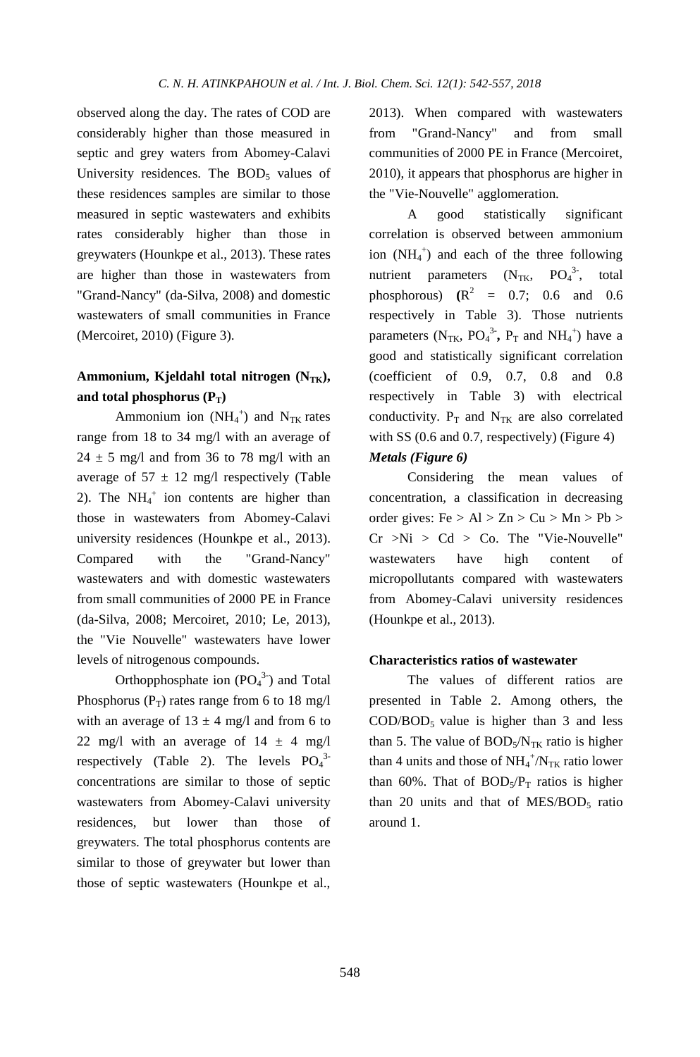observed along the day. The rates of COD are considerably higher than those measured in septic and grey waters from Abomey-Calavi University residences. The  $BOD<sub>5</sub>$  values of these residences samples are similar to those measured in septic wastewaters and exhibits rates considerably higher than those in greywaters (Hounkpe et al., 2013). These rates are higher than those in wastewaters from "Grand-Nancy" (da-Silva, 2008) and domestic wastewaters of small communities in France (Mercoiret, 2010) (Figure 3).

## **Ammonium, Kjeldahl total nitrogen (NTK),**  and total phosphorus  $(P_T)$

Ammonium ion  $(NH_4^+)$  and  $N_{TK}$  rates range from 18 to 34 mg/l with an average of  $24 \pm 5$  mg/l and from 36 to 78 mg/l with an average of  $57 \pm 12$  mg/l respectively (Table 2). The  $NH_4^+$  ion contents are higher than those in wastewaters from Abomey-Calavi university residences (Hounkpe et al., 2013). Compared with the "Grand-Nancy" wastewaters and with domestic wastewaters from small communities of 2000 PE in France (da-Silva, 2008; Mercoiret, 2010; Le, 2013), the "Vie Nouvelle" wastewaters have lower levels of nitrogenous compounds.

Orthopphosphate ion  $(PO<sub>4</sub><sup>3</sup>)$  and Total Phosphorus ( $P_T$ ) rates range from 6 to 18 mg/l with an average of  $13 \pm 4$  mg/l and from 6 to 22 mg/l with an average of  $14 \pm 4$  mg/l respectively (Table 2). The levels  $PO_4^{3-}$ concentrations are similar to those of septic wastewaters from Abomey-Calavi university residences, but lower than those of greywaters. The total phosphorus contents are similar to those of greywater but lower than those of septic wastewaters (Hounkpe et al.,

2013). When compared with wastewaters from "Grand-Nancy" and from small communities of 2000 PE in France (Mercoiret, 2010), it appears that phosphorus are higher in the "Vie-Nouvelle" agglomeration.

A good statistically significant correlation is observed between ammonium ion  $(NH_4^+)$  and each of the three following nutrient parameters  $(N_{TK},$  $PO<sub>4</sub><sup>3</sup>$ , total phosphorous)  $(R^2 = 0.7; 0.6$  and 0.6 respectively in Table 3). Those nutrients parameters  $(N_{TK}, PO_4^3$ <sup>-</sup>,  $P_T$  and  $NH_4^+$ ) have a good and statistically significant correlation (coefficient of 0.9, 0.7, 0.8 and 0.8 respectively in Table 3) with electrical conductivity.  $P_T$  and  $N_{TK}$  are also correlated with SS (0.6 and 0.7, respectively) (Figure 4) *Metals (Figure 6)*

Considering the mean values of concentration, a classification in decreasing order gives:  $Fe > Al > Zn > Cu > Mn > Pb >$  $Cr > Ni > Cd > Co.$  The "Vie-Nouvelle" wastewaters have high content of micropollutants compared with wastewaters from Abomey-Calavi university residences (Hounkpe et al., 2013).

#### **Characteristics ratios of wastewater**

The values of different ratios are presented in Table 2. Among others, the  $\text{COD/BOD}_5$  value is higher than 3 and less than 5. The value of  $BOD<sub>5</sub>/N<sub>TK</sub>$  ratio is higher than 4 units and those of  $NH_4^+/N_{TK}$  ratio lower than 60%. That of  $BOD<sub>5</sub>/P<sub>T</sub>$  ratios is higher than 20 units and that of  $MES/BOD<sub>5</sub>$  ratio around 1.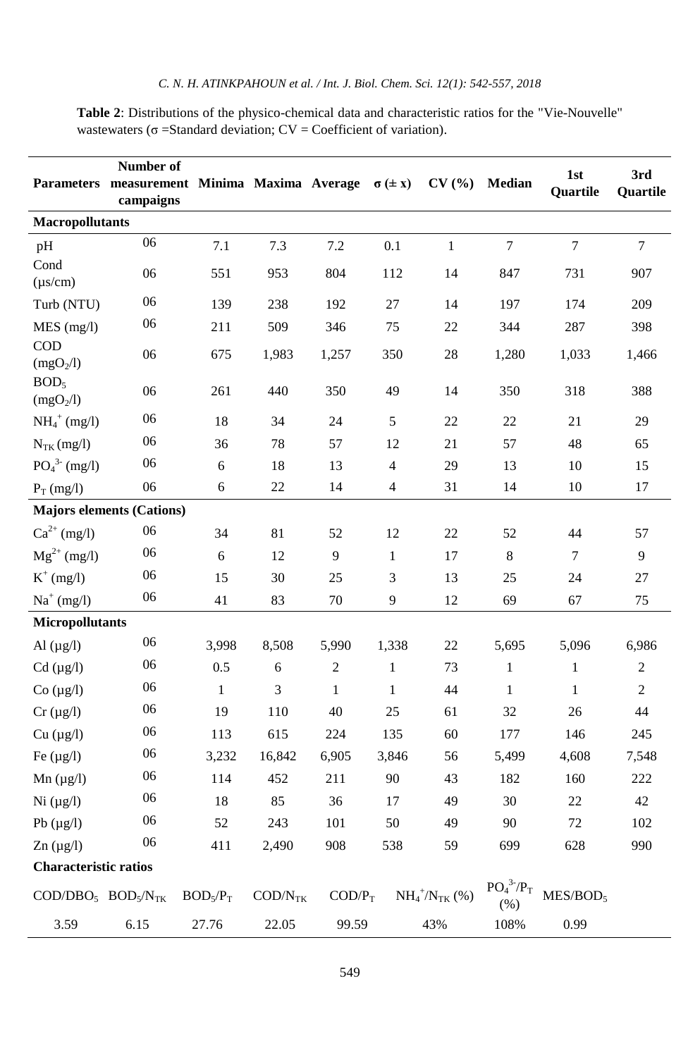**Table 2**: Distributions of the physico-chemical data and characteristic ratios for the "Vie-Nouvelle" wastewaters ( $\sigma$  =Standard deviation; CV = Coefficient of variation).

|                                                      | Number of<br>Parameters measurement Minima Maxima Average $\sigma (\pm x)$<br>campaigns |                                  |                            |              |                | CV(%)                   | Median                                           | 1st<br>Quartile      | 3rd<br>Quartile |  |  |  |
|------------------------------------------------------|-----------------------------------------------------------------------------------------|----------------------------------|----------------------------|--------------|----------------|-------------------------|--------------------------------------------------|----------------------|-----------------|--|--|--|
| <b>Macropollutants</b>                               |                                                                                         |                                  |                            |              |                |                         |                                                  |                      |                 |  |  |  |
| pH                                                   | 06                                                                                      | 7.1                              | 7.3                        | 7.2          | 0.1            | $\mathbf{1}$            | $\tau$                                           | $\overline{7}$       | $\overline{7}$  |  |  |  |
| Cond<br>$(\mu s/cm)$                                 | 06                                                                                      | 551<br>953<br>804                |                            | 112          | 14             | 847                     | 731                                              | 907                  |                 |  |  |  |
| Turb (NTU)                                           | 06                                                                                      | 139                              | 238                        | 192          | 27             | 14                      | 197                                              | 174                  | 209             |  |  |  |
| MES (mg/l)                                           | 06                                                                                      | 211                              | 509                        | 346          | 75             | $22\,$                  | 344                                              | 287                  | 398             |  |  |  |
| <b>COD</b><br>(mgO <sub>2</sub> /l)                  | 06                                                                                      | 675                              | 1,983                      | 1,257        | $28\,$<br>350  |                         | 1,280                                            | 1,033                | 1,466           |  |  |  |
| BOD <sub>5</sub><br>(mgO <sub>2</sub> /l)            | 06                                                                                      | 261                              | 440                        | 350          | 49             | 14                      | 350                                              | 318                  | 388             |  |  |  |
| $NH_4^+$ (mg/l)                                      | 06                                                                                      | 18                               | 34                         | 24           | 5              | 22                      | 22                                               | 21                   | 29              |  |  |  |
| $N_{TK}(mg/l)$                                       | 06                                                                                      | 36                               | 78                         | 57           | 12             | 21                      | 57                                               | 48                   | 65              |  |  |  |
| $PO_4^{3}$ (mg/l)                                    | 06                                                                                      | $\sqrt{6}$                       | 18                         | 13           | $\overline{4}$ | 29                      | 13                                               | 10                   | 15              |  |  |  |
| $P_T$ (mg/l)                                         | 06                                                                                      | $\sqrt{6}$                       | 22                         | 14           | $\overline{4}$ | 31                      | 14                                               | $10\,$               | 17              |  |  |  |
| <b>Majors elements (Cations)</b>                     |                                                                                         |                                  |                            |              |                |                         |                                                  |                      |                 |  |  |  |
| $Ca^{2+} (mg/l)$                                     | 06                                                                                      | 34                               | 81                         | 52           | 12             | 22                      | 52                                               | 44                   | 57              |  |  |  |
| $Mg^{2+} (mg/l)$                                     | 06                                                                                      | 6                                | 12                         | 9            | $\mathbf{1}$   | 17                      | $\,8\,$                                          | $\tau$               | 9               |  |  |  |
| $K^+$ (mg/l)                                         | 06                                                                                      | 15                               | 30                         | 25           | 3              | 13                      | 25                                               | 24                   | 27              |  |  |  |
| $Na^+(mg/l)$                                         | 06                                                                                      | 41<br>83<br>70                   |                            | 9            | 12             | 69                      | 67                                               | 75                   |                 |  |  |  |
| <b>Micropollutants</b>                               |                                                                                         |                                  |                            |              |                |                         |                                                  |                      |                 |  |  |  |
| Al $(\mu g/l)$                                       | 06                                                                                      | 3,998                            | 8,508                      | 5,990        | 1,338          | 22                      | 5,695                                            | 5,096                | 6,986           |  |  |  |
| $Cd$ ( $\mu g/l$ )                                   | 06                                                                                      | 0.5                              | 6                          | $\sqrt{2}$   | $\mathbf{1}$   | 73                      | $\mathbf{1}$                                     | $\mathbf{1}$         | $\overline{c}$  |  |  |  |
| $Co$ ( $\mu$ g/l)                                    | 06                                                                                      | $\mathbf{1}$                     | 3                          | $\mathbf{1}$ | $\mathbf{1}$   | 44                      | $\mathbf{1}$                                     | 1                    | $\overline{2}$  |  |  |  |
| $Cr (\mu g/l)$                                       | 06                                                                                      | 19                               | 110                        | 40           | 25             | 61                      | 32                                               | 26                   | 44              |  |  |  |
| Cu $(\mu g/l)$                                       | 06                                                                                      | 113                              | 615                        | 224          | 135            | 60                      | 177                                              | 146                  | 245             |  |  |  |
| Fe $(\mu g/l)$                                       | 06                                                                                      | 3,232                            | 16,842                     | 6,905        | 3,846          | 56                      | 5,499                                            | 4,608                | 7,548           |  |  |  |
| $Mn (\mu g/l)$                                       | 06                                                                                      | 114                              | 452                        | 211          | 90             | 43                      | 182                                              | 160                  | 222             |  |  |  |
| Ni (µg/l)                                            | 06                                                                                      | 18                               | 85                         | 36           | 17             | 49                      | 30                                               | $22\,$               | 42              |  |  |  |
| Pb $(\mu g/l)$                                       | 06                                                                                      | 52                               | 243                        | 101          | 50             | 49                      | 90                                               | 72                   | 102             |  |  |  |
| $Zn (\mu g/l)$                                       | 06<br>411<br>2,490<br>908                                                               |                                  |                            | 538          | 59             | 699                     | 628                                              | 990                  |                 |  |  |  |
| <b>Characteristic ratios</b>                         |                                                                                         |                                  |                            |              |                |                         |                                                  |                      |                 |  |  |  |
| $\text{COD/DBO}_5$ BOD <sub>5</sub> /N <sub>TK</sub> |                                                                                         | BOD <sub>5</sub> /P <sub>T</sub> | $\text{COD/N}_{\text{TK}}$ | $COD/P_T$    |                | $NH_{4}^{+}/N_{TK}$ (%) | $\mathbf{PO_4}^3\text{-}\mathbf{/P_T}$<br>$(\%)$ | MES/BOD <sub>5</sub> |                 |  |  |  |
| 3.59                                                 | 6.15                                                                                    | 27.76                            | 22.05                      | 99.59        |                | 43%                     | 108%                                             | 0.99                 |                 |  |  |  |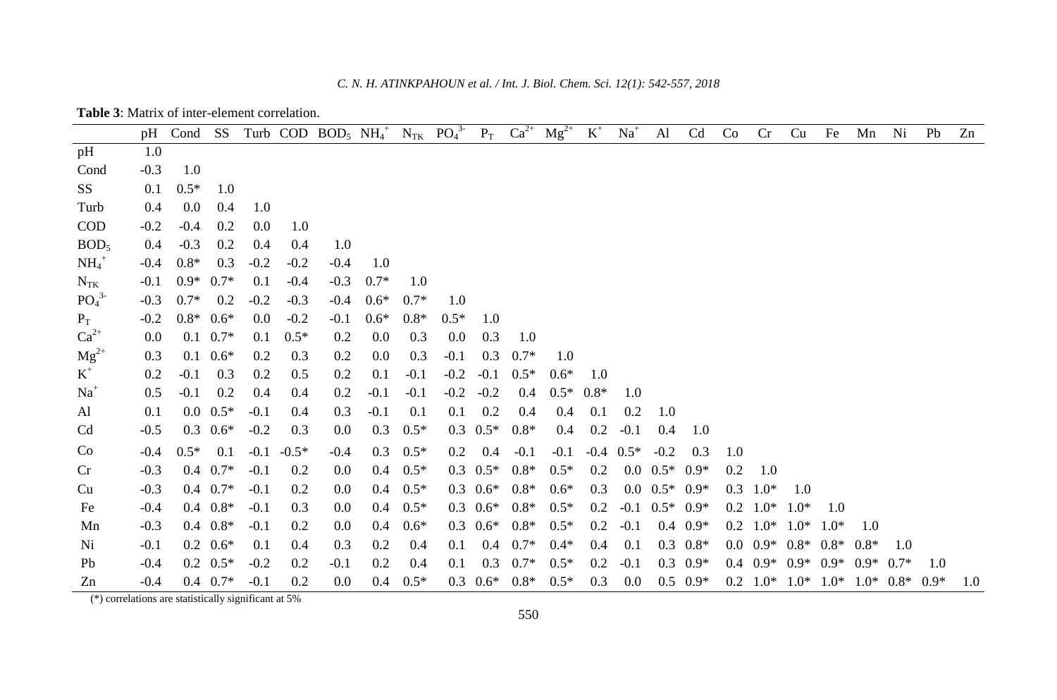| <b>Table 3:</b> Matrix of inter-element correlation. |  |  |
|------------------------------------------------------|--|--|
|------------------------------------------------------|--|--|

|                              | pH      | Cond   | SS               |        |         | Turb COD BOD <sub>5</sub> $NH_4^+$ |         |        | $N_{TK}$ $PO_4^3$ | $P_T$            | $Ca^{2+}$ | $Mg^{2+}$ | $\mbox{K}^+$ | $Na+$       | $\mathbf{A}$ l                | Cd               | Co  | Cr               | Cu     | Fe     | Mn     | Ni                                                    | Pb  | Zn  |
|------------------------------|---------|--------|------------------|--------|---------|------------------------------------|---------|--------|-------------------|------------------|-----------|-----------|--------------|-------------|-------------------------------|------------------|-----|------------------|--------|--------|--------|-------------------------------------------------------|-----|-----|
| pH                           | 1.0     |        |                  |        |         |                                    |         |        |                   |                  |           |           |              |             |                               |                  |     |                  |        |        |        |                                                       |     |     |
| Cond                         | $-0.3$  | 1.0    |                  |        |         |                                    |         |        |                   |                  |           |           |              |             |                               |                  |     |                  |        |        |        |                                                       |     |     |
| SS <sub>1</sub>              | 0.1     | $0.5*$ | 1.0              |        |         |                                    |         |        |                   |                  |           |           |              |             |                               |                  |     |                  |        |        |        |                                                       |     |     |
| Turb                         | $0.4\,$ | 0.0    | 0.4              | 1.0    |         |                                    |         |        |                   |                  |           |           |              |             |                               |                  |     |                  |        |        |        |                                                       |     |     |
| <b>COD</b>                   | $-0.2$  | $-0.4$ | 0.2              | 0.0    | 1.0     |                                    |         |        |                   |                  |           |           |              |             |                               |                  |     |                  |        |        |        |                                                       |     |     |
| BOD <sub>5</sub>             | $0.4\,$ | $-0.3$ | 0.2              | 0.4    | 0.4     | 1.0                                |         |        |                   |                  |           |           |              |             |                               |                  |     |                  |        |        |        |                                                       |     |     |
| $NH_4^+$                     | $-0.4$  | $0.8*$ | 0.3              | $-0.2$ | $-0.2$  | $-0.4$                             | 1.0     |        |                   |                  |           |           |              |             |                               |                  |     |                  |        |        |        |                                                       |     |     |
| $N_{TK}$                     | $-0.1$  | $0.9*$ | $0.7*$           | 0.1    | $-0.4$  | $-0.3$                             | $0.7*$  | 1.0    |                   |                  |           |           |              |             |                               |                  |     |                  |        |        |        |                                                       |     |     |
| PO <sub>4</sub> <sup>3</sup> | $-0.3$  | $0.7*$ | 0.2              | $-0.2$ | $-0.3$  | $-0.4$                             | $0.6*$  | $0.7*$ | 1.0               |                  |           |           |              |             |                               |                  |     |                  |        |        |        |                                                       |     |     |
| $P_T$                        | $-0.2$  | $0.8*$ | $0.6*$           | 0.0    | $-0.2$  | $-0.1$                             | $0.6*$  | $0.8*$ | $0.5*$            | 1.0              |           |           |              |             |                               |                  |     |                  |        |        |        |                                                       |     |     |
| $Ca^{2+}$                    | 0.0     |        | $0.1 \quad 0.7*$ | 0.1    | $0.5*$  | 0.2                                | 0.0     | 0.3    | 0.0               | 0.3              | 1.0       |           |              |             |                               |                  |     |                  |        |        |        |                                                       |     |     |
| $Mg^{2+}$                    | 0.3     |        | $0.1 \quad 0.6*$ | 0.2    | 0.3     | 0.2                                | $0.0\,$ | 0.3    | $-0.1$            | 0.3              | $0.7*$    | 1.0       |              |             |                               |                  |     |                  |        |        |        |                                                       |     |     |
| $K^+$                        | 0.2     | $-0.1$ | 0.3              | 0.2    | 0.5     | 0.2                                | 0.1     | $-0.1$ | $-0.2$            | $-0.1$           | $0.5*$    | $0.6*$    | 1.0          |             |                               |                  |     |                  |        |        |        |                                                       |     |     |
| $Na+$                        | 0.5     | $-0.1$ | 0.2              | 0.4    | 0.4     | 0.2                                | $-0.1$  | $-0.1$ | $-0.2$            | $-0.2$           | 0.4       | $0.5*$    | $0.8*$       | 1.0         |                               |                  |     |                  |        |        |        |                                                       |     |     |
| Al                           | 0.1     |        | $0.0 \ \ 0.5*$   | $-0.1$ | 0.4     | 0.3                                | $-0.1$  | 0.1    | 0.1               | 0.2              | 0.4       | 0.4       | 0.1          | 0.2         | 1.0                           |                  |     |                  |        |        |        |                                                       |     |     |
| Cd                           | $-0.5$  |        | $0.3 \quad 0.6*$ | $-0.2$ | 0.3     | 0.0                                | 0.3     | $0.5*$ |                   | $0.3 \quad 0.5*$ | $0.8*$    | 0.4       | 0.2          | $-0.1$      | 0.4                           | 1.0              |     |                  |        |        |        |                                                       |     |     |
| Co                           | $-0.4$  | $0.5*$ | 0.1              | $-0.1$ | $-0.5*$ | $-0.4$                             | 0.3     | $0.5*$ | 0.2               | 0.4              | $-0.1$    | $-0.1$    |              | $-0.4$ 0.5* | $-0.2$                        | 0.3              | 1.0 |                  |        |        |        |                                                       |     |     |
| Cr                           | $-0.3$  |        | $0.4$ 0.7*       | $-0.1$ | 0.2     | 0.0                                | 0.4     | $0.5*$ | 0.3               | $0.5*$           | $0.8*$    | $0.5*$    | 0.2          |             | $0.0 \quad 0.5^* \quad 0.9^*$ |                  | 0.2 | 1.0              |        |        |        |                                                       |     |     |
| Cu                           | $-0.3$  |        | $0.4$ 0.7*       | $-0.1$ | 0.2     | 0.0                                | 0.4     | $0.5*$ | 0.3               | $0.6*$           | $0.8*$    | $0.6*$    | 0.3          |             | $0.0\ 0.5^*$ 0.9*             |                  | 0.3 | $1.0*$           | 1.0    |        |        |                                                       |     |     |
| Fe                           | $-0.4$  |        | $0.4$ $0.8*$     | $-0.1$ | 0.3     | 0.0                                | 0.4     | $0.5*$ | 0.3               | $0.6*$           | $0.8*$    | $0.5*$    | 0.2          | $-0.1$      | $0.5*$ 0.9*                   |                  | 0.2 | $1.0*$           | $1.0*$ | 1.0    |        |                                                       |     |     |
| Mn                           | $-0.3$  |        | $0.4\ 0.8*$      | $-0.1$ | 0.2     | 0.0                                | 0.4     | $0.6*$ | 0.3               | $0.6*$           | $0.8*$    | $0.5*$    | 0.2          | $-0.1$      |                               | $0.4 \quad 0.9*$ | 0.2 | $1.0*$           | $1.0*$ | $1.0*$ | 1.0    |                                                       |     |     |
| Ni                           | $-0.1$  |        | $0.2 \quad 0.6*$ | 0.1    | 0.4     | 0.3                                | 0.2     | 0.4    | 0.1               | 0.4              | $0.7*$    | $0.4*$    | 0.4          | 0.1         |                               | $0.3 \quad 0.8*$ |     | $0.0 \quad 0.9*$ | $0.8*$ | $0.8*$ | $0.8*$ | 1.0                                                   |     |     |
| Pb                           | $-0.4$  |        | $0.2 \quad 0.5*$ | $-0.2$ | 0.2     | $-0.1$                             | 0.2     | 0.4    | 0.1               | 0.3              | $0.7*$    | $0.5*$    | 0.2          | $-0.1$      |                               | $0.3 \quad 0.9*$ |     | $0.4 \quad 0.9*$ | $0.9*$ | $0.9*$ | $0.9*$ | $0.7*$                                                | 1.0 |     |
| Zn                           | $-0.4$  |        | $0.4 \quad 0.7*$ | $-0.1$ | 0.2     | $0.0\,$                            | 0.4     | $0.5*$ | 0.3               | $0.6*$           | $0.8*$    | $0.5*$    | 0.3          | 0.0         |                               | $0.5 \quad 0.9*$ |     |                  |        |        |        | $0.2$ $1.0^*$ $1.0^*$ $1.0^*$ $1.0^*$ $0.8^*$ $0.9^*$ |     | 1.0 |

(\*) correlations are statistically significant at 5%

550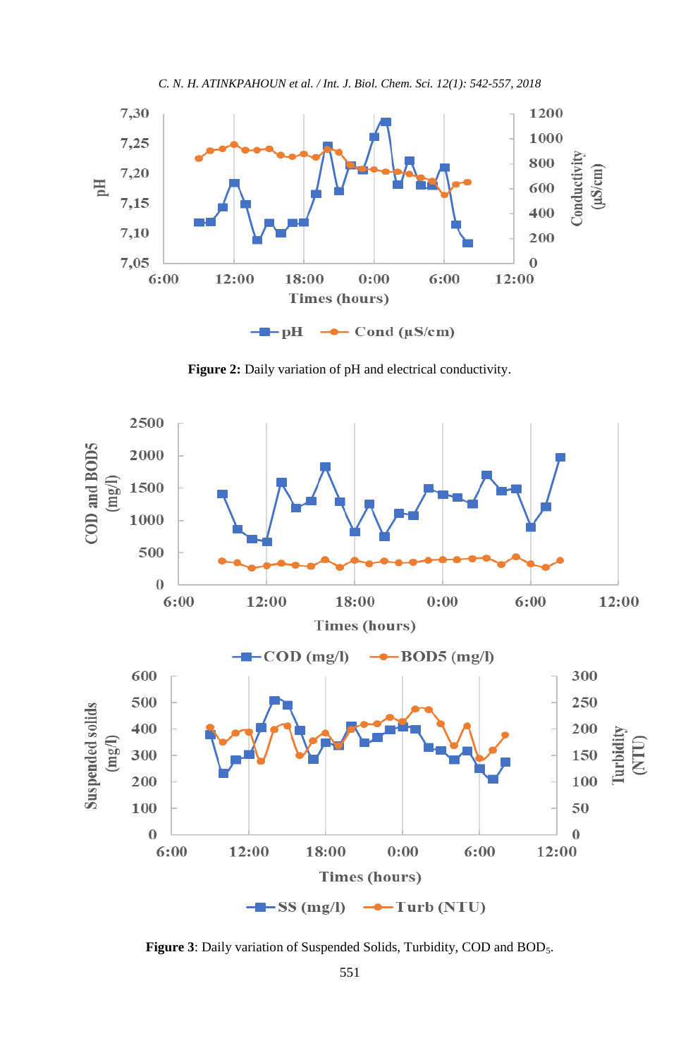



Figure 2: Daily variation of pH and electrical conductivity.



Figure 3: Daily variation of Suspended Solids, Turbidity, COD and BOD<sub>5</sub>.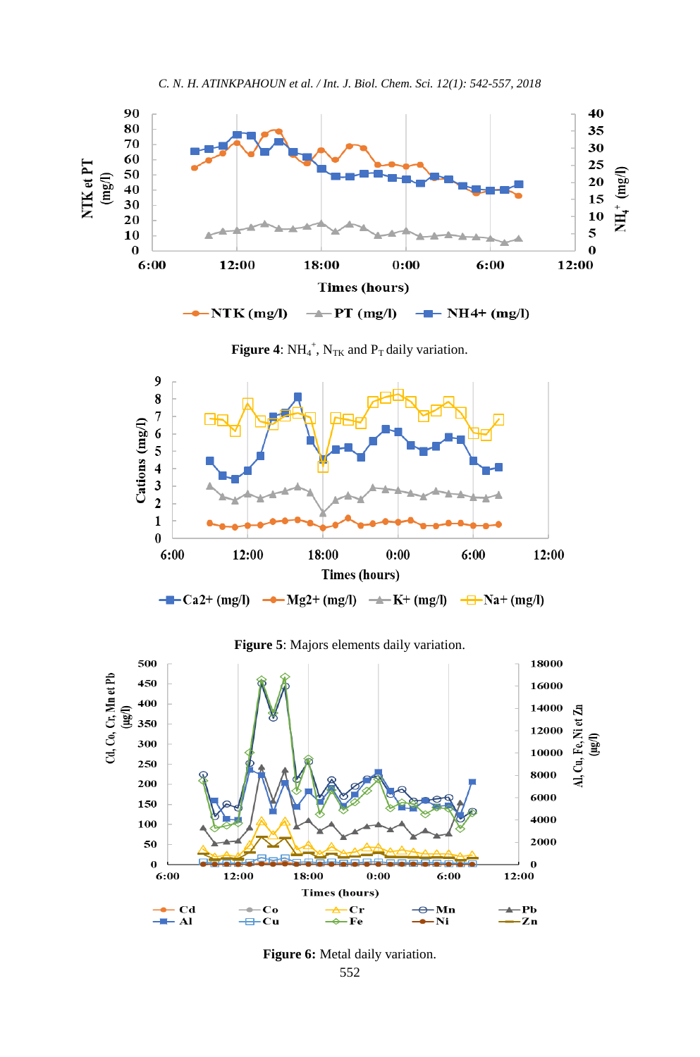

**Figure 4:**  $NH_4^+$ ,  $N_{TK}$  and  $P_T$  daily variation.



**Figure 5**: Majors elements daily variation.



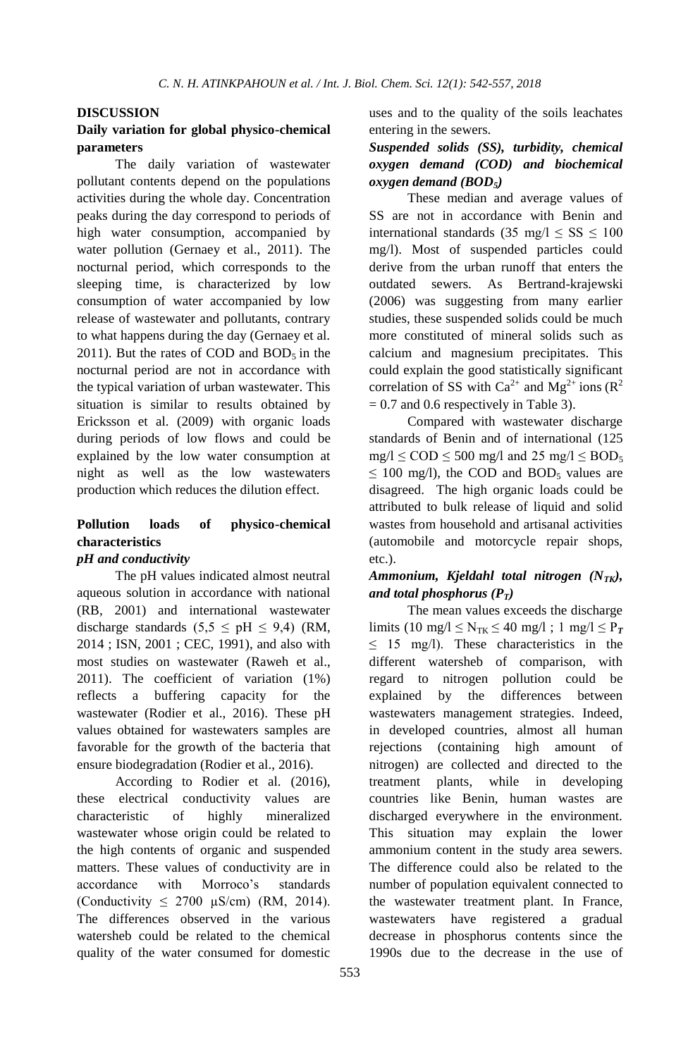#### **DISCUSSION**

## **Daily variation for global physico-chemical parameters**

The daily variation of wastewater pollutant contents depend on the populations activities during the whole day. Concentration peaks during the day correspond to periods of high water consumption, accompanied by water pollution (Gernaey et al., 2011). The nocturnal period, which corresponds to the sleeping time, is characterized by low consumption of water accompanied by low release of wastewater and pollutants, contrary to what happens during the day (Gernaey et al. 2011). But the rates of COD and  $BOD<sub>5</sub>$  in the nocturnal period are not in accordance with the typical variation of urban wastewater. This situation is similar to results obtained by Ericksson et al. (2009) with organic loads during periods of low flows and could be explained by the low water consumption at night as well as the low wastewaters production which reduces the dilution effect.

# **Pollution loads of physico-chemical characteristics**

## *pH and conductivity*

The pH values indicated almost neutral aqueous solution in accordance with national (RB, 2001) and international wastewater discharge standards  $(5,5 \leq pH \leq 9,4)$  (RM, 2014 ; ISN, 2001 ; CEC, 1991), and also with most studies on wastewater (Raweh et al., 2011). The coefficient of variation (1%) reflects a buffering capacity for the wastewater (Rodier et al., 2016). These pH values obtained for wastewaters samples are favorable for the growth of the bacteria that ensure biodegradation (Rodier et al., 2016).

According to Rodier et al. (2016), these electrical conductivity values are characteristic of highly mineralized wastewater whose origin could be related to the high contents of organic and suspended matters. These values of conductivity are in accordance with Morroco's standards (Conductivity  $\leq$  2700  $\mu$ S/cm) (RM, 2014). The differences observed in the various watersheb could be related to the chemical quality of the water consumed for domestic

uses and to the quality of the soils leachates entering in the sewers.

## *Suspended solids (SS), turbidity, chemical oxygen demand (COD) and biochemical oxygen demand (BOD5)*

These median and average values of SS are not in accordance with Benin and international standards (35 mg/l  $\leq$  SS  $\leq$  100 mg/l). Most of suspended particles could derive from the urban runoff that enters the outdated sewers. As Bertrand-krajewski (2006) was suggesting from many earlier studies, these suspended solids could be much more constituted of mineral solids such as calcium and magnesium precipitates. This could explain the good statistically significant correlation of SS with  $Ca^{2+}$  and  $Mg^{2+}$  ions ( $R^2$ )  $= 0.7$  and 0.6 respectively in Table 3).

Compared with wastewater discharge standards of Benin and of international (125  $mg/l \leq COD \leq 500$  mg/l and 25 mg/l  $\leq BOD_5$  $\leq$  100 mg/l), the COD and BOD<sub>5</sub> values are disagreed. The high organic loads could be attributed to bulk release of liquid and solid wastes from household and artisanal activities (automobile and motorcycle repair shops, etc.).

## *Ammonium, Kjeldahl total nitrogen (NTK), and total phosphorus*  $(P_T)$

The mean values exceeds the discharge limits (10 mg/l  $\leq$  N<sub>TK</sub> $\leq$  40 mg/l; 1 mg/l  $\leq$  P<sub>T</sub>  $\leq$  15 mg/l). These characteristics in the different watersheb of comparison, with regard to nitrogen pollution could be explained by the differences between wastewaters management strategies. Indeed, in developed countries, almost all human rejections (containing high amount of nitrogen) are collected and directed to the treatment plants, while in developing countries like Benin, human wastes are discharged everywhere in the environment. This situation may explain the lower ammonium content in the study area sewers. The difference could also be related to the number of population equivalent connected to the wastewater treatment plant. In France, wastewaters have registered a gradual decrease in phosphorus contents since the 1990s due to the decrease in the use of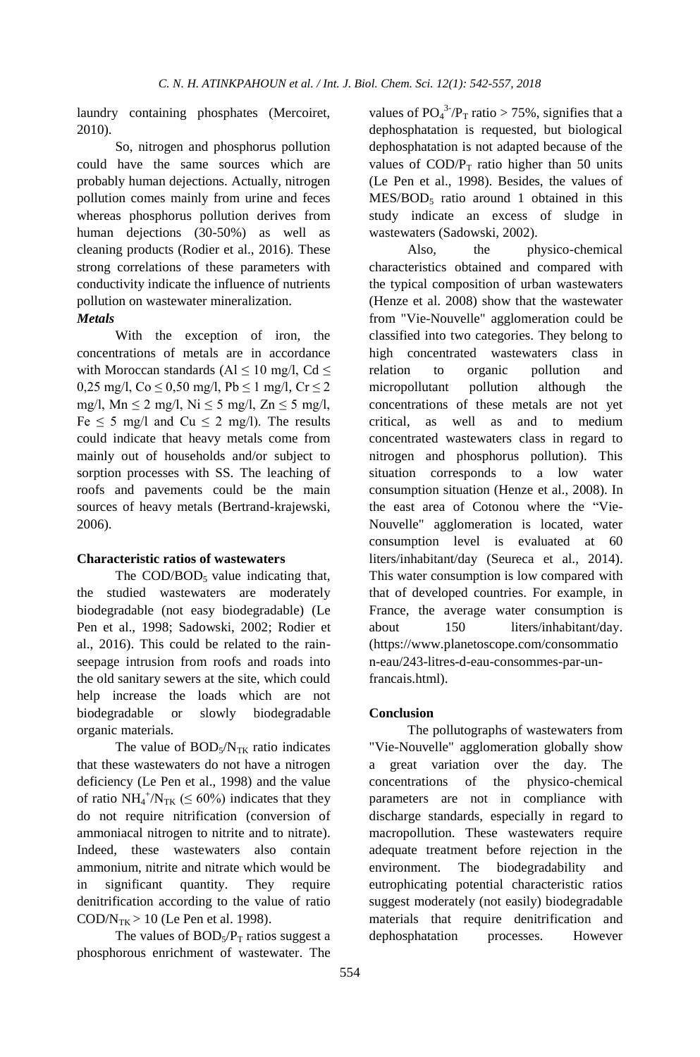laundry containing phosphates (Mercoiret, 2010).

So, nitrogen and phosphorus pollution could have the same sources which are probably human dejections. Actually, nitrogen pollution comes mainly from urine and feces whereas phosphorus pollution derives from human dejections (30-50%) as well as cleaning products (Rodier et al., 2016). These strong correlations of these parameters with conductivity indicate the influence of nutrients pollution on wastewater mineralization.

#### *Metals*

With the exception of iron, the concentrations of metals are in accordance with Moroccan standards (Al  $\leq$  10 mg/l, Cd  $\leq$ 0,25 mg/l,  $Co \le 0.50$  mg/l,  $Pb \le 1$  mg/l,  $Cr \le 2$ mg/l, Mn  $\leq 2$  mg/l, Ni  $\leq 5$  mg/l, Zn  $\leq 5$  mg/l, Fe  $\leq$  5 mg/l and Cu  $\leq$  2 mg/l). The results could indicate that heavy metals come from mainly out of households and/or subject to sorption processes with SS. The leaching of roofs and pavements could be the main sources of heavy metals (Bertrand-krajewski, 2006).

#### **Characteristic ratios of wastewaters**

The  $\text{COD}/\text{BOD}_5$  value indicating that, the studied wastewaters are moderately biodegradable (not easy biodegradable) (Le Pen et al., 1998; Sadowski, 2002; Rodier et al., 2016). This could be related to the rainseepage intrusion from roofs and roads into the old sanitary sewers at the site, which could help increase the loads which are not biodegradable or slowly biodegradable organic materials.

The value of  $BOD<sub>5</sub>/N<sub>TK</sub>$  ratio indicates that these wastewaters do not have a nitrogen deficiency (Le Pen et al., 1998) and the value of ratio  $NH_4^+/N_{TK}$  ( $\leq 60\%$ ) indicates that they do not require nitrification (conversion of ammoniacal nitrogen to nitrite and to nitrate). Indeed, these wastewaters also contain ammonium, nitrite and nitrate which would be in significant quantity. They require denitrification according to the value of ratio  $\text{COD/N}_{TK}$  > 10 (Le Pen et al. 1998).

The values of  $BOD<sub>5</sub>/P<sub>T</sub>$  ratios suggest a phosphorous enrichment of wastewater. The

values of  $PO_4^{3.7}P_T$  ratio > 75%, signifies that a dephosphatation is requested, but biological dephosphatation is not adapted because of the values of  $\text{COD/P}_T$  ratio higher than 50 units (Le Pen et al., 1998). Besides, the values of  $MES/BOD<sub>5</sub>$  ratio around 1 obtained in this study indicate an excess of sludge in wastewaters (Sadowski, 2002).

Also, the physico-chemical characteristics obtained and compared with the typical composition of urban wastewaters (Henze et al. 2008) show that the wastewater from "Vie-Nouvelle" agglomeration could be classified into two categories. They belong to high concentrated wastewaters class in relation to organic pollution and micropollutant pollution although the concentrations of these metals are not yet critical, as well as and to medium concentrated wastewaters class in regard to nitrogen and phosphorus pollution). This situation corresponds to a low water consumption situation (Henze et al., 2008). In the east area of Cotonou where the "Vie-Nouvelle" agglomeration is located, water consumption level is evaluated at 60 liters/inhabitant/day (Seureca et al., 2014). This water consumption is low compared with that of developed countries. For example, in France, the average water consumption is about 150 liters/inhabitant/day. [\(https://www.planetoscope.com/consommatio](https://www.planetoscope.com/consommation-eau/243-litres-d-eau-consommes-par-un-francais.html) [n-eau/243-litres-d-eau-consommes-par-un](https://www.planetoscope.com/consommation-eau/243-litres-d-eau-consommes-par-un-francais.html)[francais.html\)](https://www.planetoscope.com/consommation-eau/243-litres-d-eau-consommes-par-un-francais.html).

#### **Conclusion**

The pollutographs of wastewaters from "Vie-Nouvelle" agglomeration globally show a great variation over the day. The concentrations of the physico-chemical parameters are not in compliance with discharge standards, especially in regard to macropollution. These wastewaters require adequate treatment before rejection in the environment. The biodegradability and eutrophicating potential characteristic ratios suggest moderately (not easily) biodegradable materials that require denitrification and dephosphatation processes. However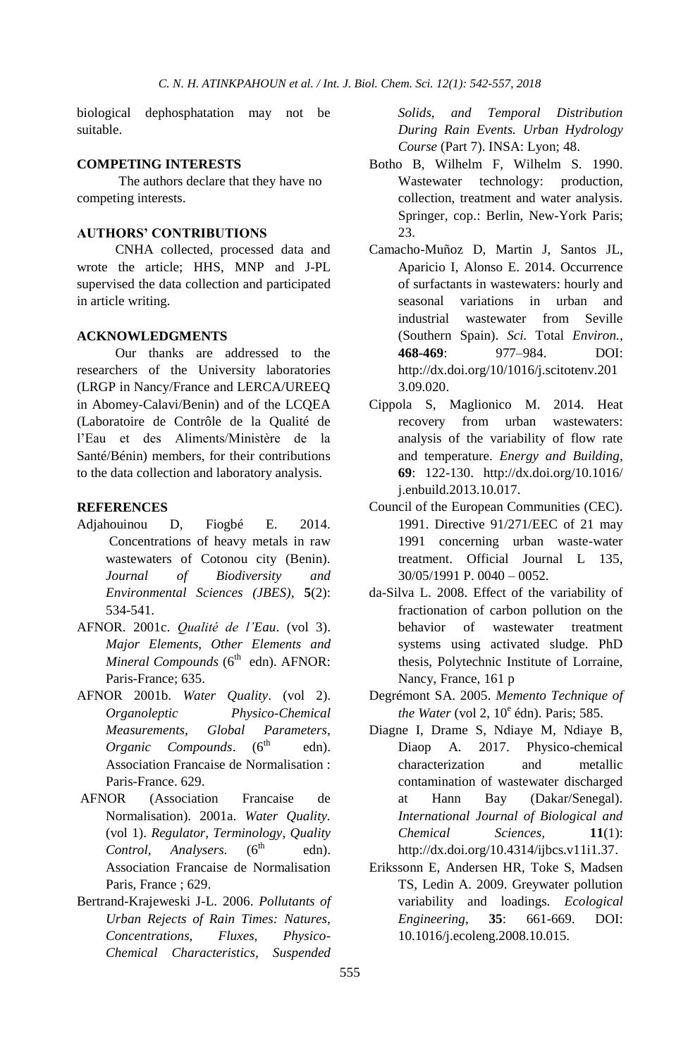biological dephosphatation may not be suitable.

#### **COMPETING INTERESTS**

The authors declare that they have no competing interests.

#### **AUTHORS' CONTRIBUTIONS**

CNHA collected, processed data and wrote the article; HHS, MNP and J-PL supervised the data collection and participated in article writing.

#### **ACKNOWLEDGMENTS**

Our thanks are addressed to the researchers of the University laboratories (LRGP in Nancy/France and LERCA/UREEQ in Abomey-Calavi/Benin) and of the LCQEA (Laboratoire de Contrôle de la Qualité de l'Eau et des Aliments/Ministère de la Santé/Bénin) members, for their contributions to the data collection and laboratory analysis.

#### **REFERENCES**

- Adjahouinou D, Fiogbé E. 2014. Concentrations of heavy metals in raw wastewaters of Cotonou city (Benin). *Journal of Biodiversity and Environmental Sciences (JBES),* **5**(2): 534-541.
- AFNOR. 2001c. *Qualité de l'Eau*. (vol 3). *Major Elements, Other Elements and Mineral Compounds* (6<sup>th</sup> edn). AFNOR: Paris-France; 635.
- AFNOR 2001b. *Water Quality*. (vol 2). *Organoleptic Physico-Chemical Measurements, Global Parameters, Organic Compounds*. (6 edn). Association Francaise de Normalisation : Paris-France. 629.
- AFNOR (Association Francaise de Normalisation). 2001a. *Water Quality.*  (vol 1). *Regulator, Terminology, Quality Control, Analysers*. (6 edn). Association Francaise de Normalisation Paris, France ; 629.
- Bertrand-Krajeweski J-L. 2006. *Pollutants of Urban Rejects of Rain Times: Natures, Concentrations, Fluxes, Physico-Chemical Characteristics, Suspended*

*Solids, and Temporal Distribution During Rain Events. Urban Hydrology Course* (Part 7). INSA: Lyon; 48.

- Botho B, Wilhelm F, Wilhelm S. 1990. Wastewater technology: production, collection, treatment and water analysis. Springer, cop.: Berlin, New-York Paris; 23.
- Camacho-Muñoz D, Martin J, Santos JL, Aparicio I, Alonso E. 2014. Occurrence of surfactants in wastewaters: hourly and seasonal variations in urban and industrial wastewater from Seville (Southern Spain). *Sci.* Total *Environ.,*  **468-469**: 977–984. DOI: [http://dx.doi.org/10/1016/j.scitotenv.201](http://dx.doi.org/10/1016/j.scitotenv.2013.09.020) [3.09.020.](http://dx.doi.org/10/1016/j.scitotenv.2013.09.020)
- Cippola S, Maglionico M. 2014. Heat recovery from urban wastewaters: analysis of the variability of flow rate and temperature. *Energy and Building*, **69**: 122-130. [http://dx.doi.org/10.1016/](http://dx.doi.org/10.1016/j.enbuild.2013.10.017) [j.enbuild.2013.10.017.](http://dx.doi.org/10.1016/j.enbuild.2013.10.017)
- Council of the European Communities (CEC). 1991. Directive 91/271/EEC of 21 may 1991 concerning urban waste-water treatment. Official Journal L 135, 30/05/1991 P. 0040 – 0052.
- da-Silva L. 2008. Effect of the variability of fractionation of carbon pollution on the behavior of wastewater treatment systems using activated sludge. PhD thesis, Polytechnic Institute of Lorraine, Nancy, France, 161 p
- Degrémont SA. 2005. *Memento Technique of the Water* (vol 2, 10<sup>e</sup> édn). Paris; 585.
- Diagne I, Drame S, Ndiaye M, Ndiaye B, Diaop A. 2017. Physico-chemical characterization and metallic contamination of wastewater discharged at Hann Bay (Dakar/Senegal). *International Journal of Biological and Chemical Sciences,* **11**(1): [http://dx.doi.org/10.4314/ijbcs.v11i1.37.](http://dx.doi.org/10.4314/ijbcs.v11i1.37)
- Erikssonn E, Andersen HR, Toke S, Madsen TS, Ledin A. 2009. Greywater pollution variability and loadings. *Ecological Engineering,* **35**: 661-669. DOI: 10.1016/j.ecoleng.2008.10.015.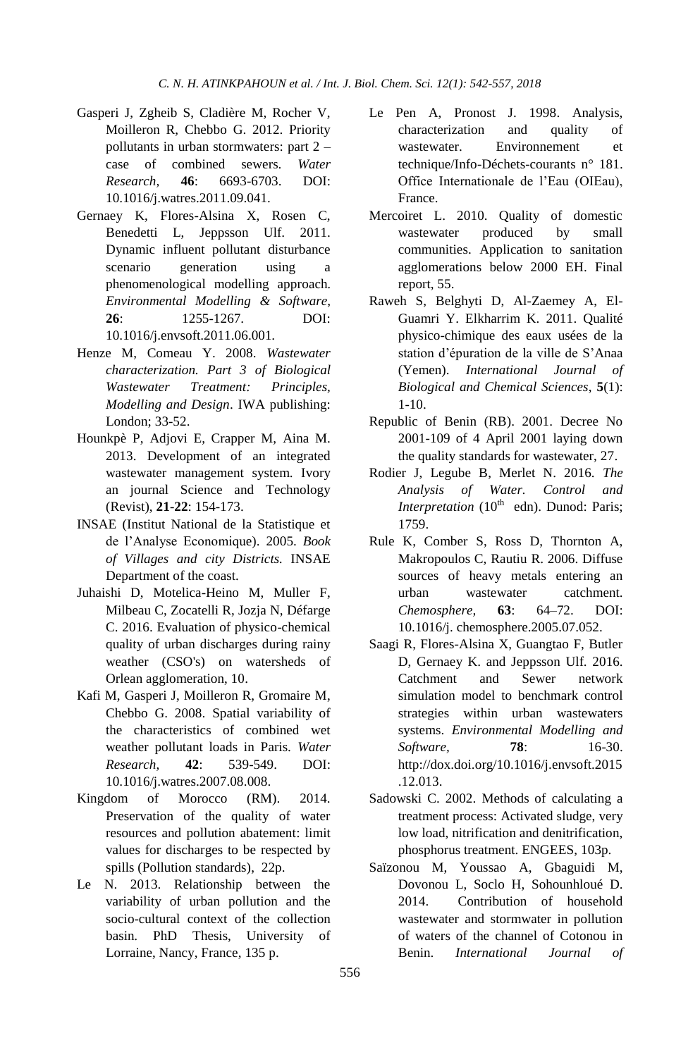- Gasperi J, Zgheib S, Cladière M, Rocher V, Moilleron R, Chebbo G. 2012. Priority pollutants in urban stormwaters: part 2 – case of combined sewers. *Water Research,* **46**: 6693-6703. DOI: 10.1016/j.watres.2011.09.041.
- Gernaey K, Flores-Alsina X, Rosen C, Benedetti L, Jeppsson Ulf. 2011. Dynamic influent pollutant disturbance scenario generation using a phenomenological modelling approach. *Environmental Modelling & Software*, **26**: 1255-1267. DOI: 10.1016/j.envsoft.2011.06.001.
- Henze M, Comeau Y. 2008. *Wastewater characterization. Part 3 of Biological Wastewater Treatment: Principles, Modelling and Design*. IWA publishing: London; 33-52.
- Hounkpè P, Adjovi E, Crapper M, Aina M. 2013. Development of an integrated wastewater management system. Ivory an journal Science and Technology (Revist), **21**-**22**: 154-173.
- INSAE (Institut National de la Statistique et de l'Analyse Economique). 2005. *Book of Villages and city Districts.* INSAE Department of the coast.
- Juhaishi D, Motelica-Heino M, Muller F, Milbeau C, Zocatelli R, Jozja N, Défarge C. 2016. Evaluation of physico-chemical quality of urban discharges during rainy weather (CSO's) on watersheds of Orlean agglomeration, 10.
- Kafi M, Gasperi J, Moilleron R, Gromaire M, Chebbo G. 2008. Spatial variability of the characteristics of combined wet weather pollutant loads in Paris. *Water Research*, **42**: 539-549. DOI: 10.1016/j.watres.2007.08.008.
- Kingdom of Morocco (RM). 2014. Preservation of the quality of water resources and pollution abatement: limit values for discharges to be respected by spills (Pollution standards), 22p.
- Le N. 2013. Relationship between the variability of urban pollution and the socio-cultural context of the collection basin. PhD Thesis, University of Lorraine, Nancy, France, 135 p.
- Le Pen A, Pronost J. 1998. Analysis, characterization and quality of wastewater. Environnement et technique/Info-Déchets-courants n° 181. Office Internationale de l'Eau (OIEau), France.
- Mercoiret L. 2010. Quality of domestic wastewater produced by small communities. Application to sanitation agglomerations below 2000 EH. Final report, 55.
- Raweh S, Belghyti D, Al-Zaemey A, El-Guamri Y. Elkharrim K. 2011. Qualité physico-chimique des eaux usées de la station d'épuration de la ville de S'Anaa (Yemen). *International Journal of Biological and Chemical Sciences*, **5**(1): 1-10.
- Republic of Benin (RB). 2001. Decree No 2001-109 of 4 April 2001 laying down the quality standards for wastewater, 27.
- Rodier J, Legube B, Merlet N. 2016. *The Analysis of Water. Control and Interpretation* (10<sup>th</sup> edn). Dunod: Paris; 1759.
- Rule K, Comber S, Ross D, Thornton A, Makropoulos C, Rautiu R. 2006. Diffuse sources of heavy metals entering an urban wastewater catchment. *Chemosphere,* **63**: 64–72. DOI: 10.1016/j. chemosphere.2005.07.052.
- Saagi R, Flores-Alsina X, Guangtao F, Butler D, Gernaey K. and Jeppsson Ulf. 2016. Catchment and Sewer network simulation model to benchmark control strategies within urban wastewaters systems. *Environmental Modelling and Software,* **78**: 16-30. [http://dox.doi.org/10.1016/j.envsoft.2015](http://dox.doi.org/10.1016/j.envsoft.2015.12.013) [.12.013.](http://dox.doi.org/10.1016/j.envsoft.2015.12.013)
- Sadowski C. 2002. Methods of calculating a treatment process: Activated sludge, very low load, nitrification and denitrification, phosphorus treatment. ENGEES, 103p.
- Saïzonou M, Youssao A, Gbaguidi M, Dovonou L, Soclo H, Sohounhloué D. 2014. Contribution of household wastewater and stormwater in pollution of waters of the channel of Cotonou in Benin. *International Journal of*

556